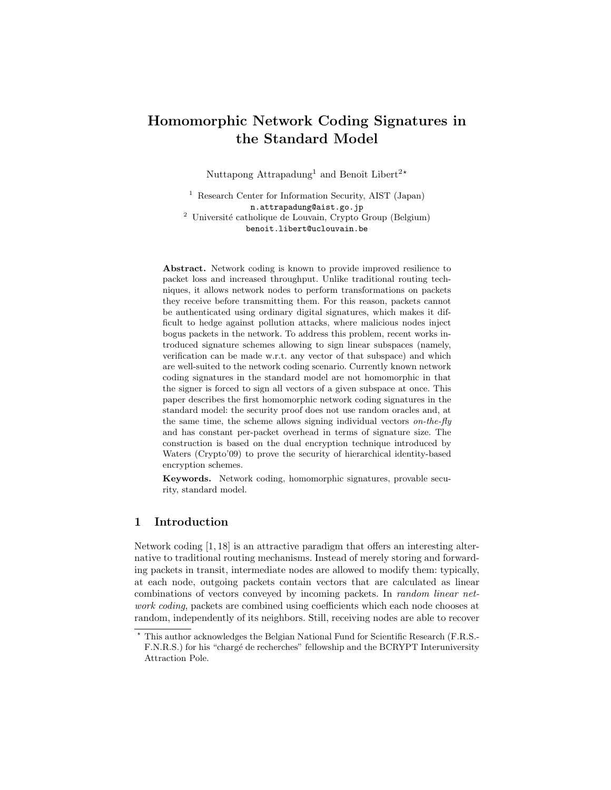# Homomorphic Network Coding Signatures in the Standard Model

Nuttapong Attrapadung<sup>1</sup> and Benoît Libert<sup>2\*</sup>

<sup>1</sup> Research Center for Information Security, AIST (Japan) n.attrapadung@aist.go.jp  $^2$ Université catholique de Louvain, Crypto Group (Belgium) benoit.libert@uclouvain.be

Abstract. Network coding is known to provide improved resilience to packet loss and increased throughput. Unlike traditional routing techniques, it allows network nodes to perform transformations on packets they receive before transmitting them. For this reason, packets cannot be authenticated using ordinary digital signatures, which makes it difficult to hedge against pollution attacks, where malicious nodes inject bogus packets in the network. To address this problem, recent works introduced signature schemes allowing to sign linear subspaces (namely, verification can be made w.r.t. any vector of that subspace) and which are well-suited to the network coding scenario. Currently known network coding signatures in the standard model are not homomorphic in that the signer is forced to sign all vectors of a given subspace at once. This paper describes the first homomorphic network coding signatures in the standard model: the security proof does not use random oracles and, at the same time, the scheme allows signing individual vectors *on-the-fly* and has constant per-packet overhead in terms of signature size. The construction is based on the dual encryption technique introduced by Waters (Crypto'09) to prove the security of hierarchical identity-based encryption schemes.

Keywords. Network coding, homomorphic signatures, provable security, standard model.

# 1 Introduction

Network coding [1, 18] is an attractive paradigm that offers an interesting alternative to traditional routing mechanisms. Instead of merely storing and forwarding packets in transit, intermediate nodes are allowed to modify them: typically, at each node, outgoing packets contain vectors that are calculated as linear combinations of vectors conveyed by incoming packets. In random linear network coding, packets are combined using coefficients which each node chooses at random, independently of its neighbors. Still, receiving nodes are able to recover

<sup>?</sup> This author acknowledges the Belgian National Fund for Scientific Research (F.R.S.- F.N.R.S.) for his "chargé de recherches" fellowship and the BCRYPT Interuniversity Attraction Pole.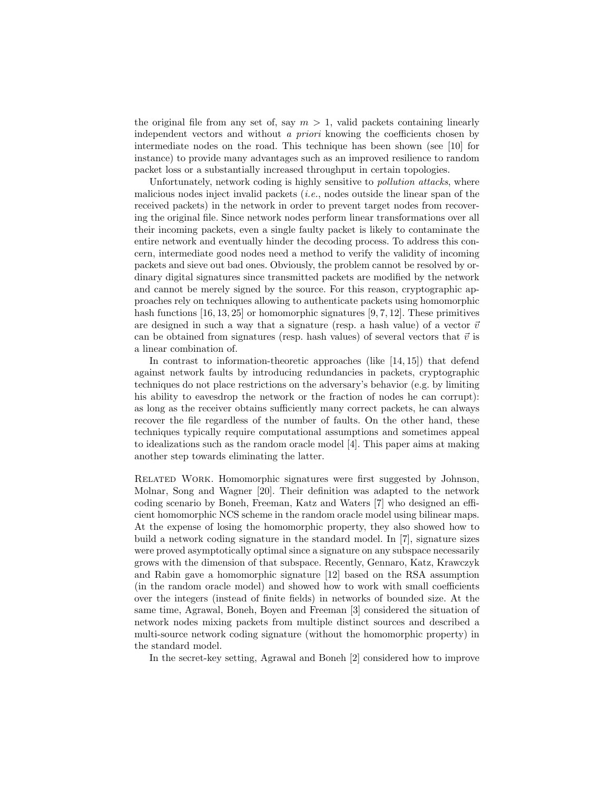the original file from any set of, say  $m > 1$ , valid packets containing linearly independent vectors and without a priori knowing the coefficients chosen by intermediate nodes on the road. This technique has been shown (see [10] for instance) to provide many advantages such as an improved resilience to random packet loss or a substantially increased throughput in certain topologies.

Unfortunately, network coding is highly sensitive to pollution attacks, where malicious nodes inject invalid packets (i.e., nodes outside the linear span of the received packets) in the network in order to prevent target nodes from recovering the original file. Since network nodes perform linear transformations over all their incoming packets, even a single faulty packet is likely to contaminate the entire network and eventually hinder the decoding process. To address this concern, intermediate good nodes need a method to verify the validity of incoming packets and sieve out bad ones. Obviously, the problem cannot be resolved by ordinary digital signatures since transmitted packets are modified by the network and cannot be merely signed by the source. For this reason, cryptographic approaches rely on techniques allowing to authenticate packets using homomorphic hash functions  $[16, 13, 25]$  or homomorphic signatures  $[9, 7, 12]$ . These primitives are designed in such a way that a signature (resp. a hash value) of a vector  $\vec{v}$ can be obtained from signatures (resp. hash values) of several vectors that  $\vec{v}$  is a linear combination of.

In contrast to information-theoretic approaches (like [14, 15]) that defend against network faults by introducing redundancies in packets, cryptographic techniques do not place restrictions on the adversary's behavior (e.g. by limiting his ability to eavesdrop the network or the fraction of nodes he can corrupt): as long as the receiver obtains sufficiently many correct packets, he can always recover the file regardless of the number of faults. On the other hand, these techniques typically require computational assumptions and sometimes appeal to idealizations such as the random oracle model [4]. This paper aims at making another step towards eliminating the latter.

Related Work. Homomorphic signatures were first suggested by Johnson, Molnar, Song and Wagner [20]. Their definition was adapted to the network coding scenario by Boneh, Freeman, Katz and Waters [7] who designed an efficient homomorphic NCS scheme in the random oracle model using bilinear maps. At the expense of losing the homomorphic property, they also showed how to build a network coding signature in the standard model. In [7], signature sizes were proved asymptotically optimal since a signature on any subspace necessarily grows with the dimension of that subspace. Recently, Gennaro, Katz, Krawczyk and Rabin gave a homomorphic signature [12] based on the RSA assumption (in the random oracle model) and showed how to work with small coefficients over the integers (instead of finite fields) in networks of bounded size. At the same time, Agrawal, Boneh, Boyen and Freeman [3] considered the situation of network nodes mixing packets from multiple distinct sources and described a multi-source network coding signature (without the homomorphic property) in the standard model.

In the secret-key setting, Agrawal and Boneh [2] considered how to improve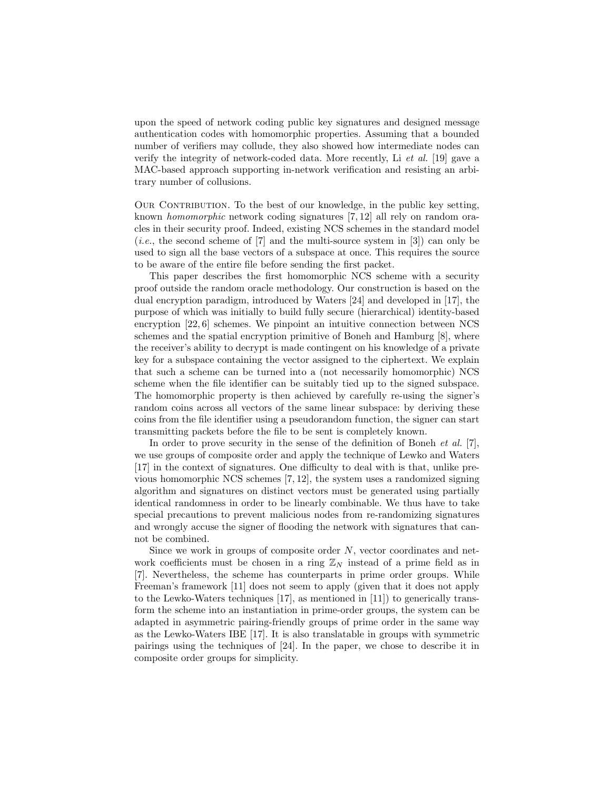upon the speed of network coding public key signatures and designed message authentication codes with homomorphic properties. Assuming that a bounded number of verifiers may collude, they also showed how intermediate nodes can verify the integrity of network-coded data. More recently, Li et al. [19] gave a MAC-based approach supporting in-network verification and resisting an arbitrary number of collusions.

OUR CONTRIBUTION. To the best of our knowledge, in the public key setting, known homomorphic network coding signatures [7, 12] all rely on random oracles in their security proof. Indeed, existing NCS schemes in the standard model (*i.e.*, the second scheme of  $[7]$  and the multi-source system in  $[3]$ ) can only be used to sign all the base vectors of a subspace at once. This requires the source to be aware of the entire file before sending the first packet.

This paper describes the first homomorphic NCS scheme with a security proof outside the random oracle methodology. Our construction is based on the dual encryption paradigm, introduced by Waters [24] and developed in [17], the purpose of which was initially to build fully secure (hierarchical) identity-based encryption [22, 6] schemes. We pinpoint an intuitive connection between NCS schemes and the spatial encryption primitive of Boneh and Hamburg [8], where the receiver's ability to decrypt is made contingent on his knowledge of a private key for a subspace containing the vector assigned to the ciphertext. We explain that such a scheme can be turned into a (not necessarily homomorphic) NCS scheme when the file identifier can be suitably tied up to the signed subspace. The homomorphic property is then achieved by carefully re-using the signer's random coins across all vectors of the same linear subspace: by deriving these coins from the file identifier using a pseudorandom function, the signer can start transmitting packets before the file to be sent is completely known.

In order to prove security in the sense of the definition of Boneh *et al.* [7], we use groups of composite order and apply the technique of Lewko and Waters [17] in the context of signatures. One difficulty to deal with is that, unlike previous homomorphic NCS schemes [7, 12], the system uses a randomized signing algorithm and signatures on distinct vectors must be generated using partially identical randomness in order to be linearly combinable. We thus have to take special precautions to prevent malicious nodes from re-randomizing signatures and wrongly accuse the signer of flooding the network with signatures that cannot be combined.

Since we work in groups of composite order N, vector coordinates and network coefficients must be chosen in a ring  $\mathbb{Z}_N$  instead of a prime field as in [7]. Nevertheless, the scheme has counterparts in prime order groups. While Freeman's framework [11] does not seem to apply (given that it does not apply to the Lewko-Waters techniques [17], as mentioned in [11]) to generically transform the scheme into an instantiation in prime-order groups, the system can be adapted in asymmetric pairing-friendly groups of prime order in the same way as the Lewko-Waters IBE [17]. It is also translatable in groups with symmetric pairings using the techniques of [24]. In the paper, we chose to describe it in composite order groups for simplicity.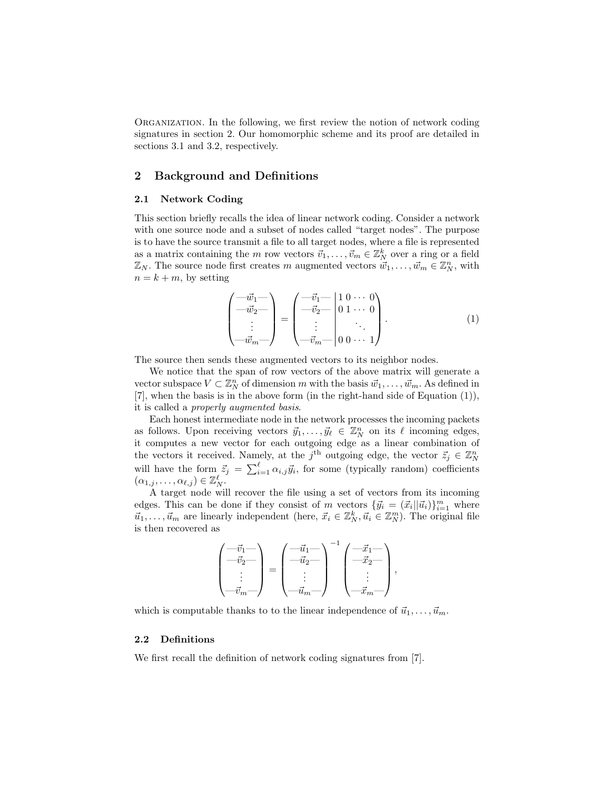Organization. In the following, we first review the notion of network coding signatures in section 2. Our homomorphic scheme and its proof are detailed in sections 3.1 and 3.2, respectively.

# 2 Background and Definitions

### 2.1 Network Coding

This section briefly recalls the idea of linear network coding. Consider a network with one source node and a subset of nodes called "target nodes". The purpose is to have the source transmit a file to all target nodes, where a file is represented as a matrix containing the m row vectors  $\vec{v}_1, \ldots, \vec{v}_m \in \mathbb{Z}_N^k$  over a ring or a field  $\mathbb{Z}_N$ . The source node first creates m augmented vectors  $\vec{w}_1, \ldots, \vec{w}_m \in \mathbb{Z}_N^n$ , with  $n = k + m$ , by setting

$$
\begin{pmatrix} -\vec{w}_1 - \\ -\vec{w}_2 - \\ \vdots \\ -\vec{w}_m - \end{pmatrix} = \begin{pmatrix} -\vec{v}_1 - \\ -\vec{v}_2 - \\ \vdots \\ -\vec{v}_m - \\ 0 & 0 & \cdots & 1 \end{pmatrix} . \tag{1}
$$

The source then sends these augmented vectors to its neighbor nodes.

We notice that the span of row vectors of the above matrix will generate a vector subspace  $V \subset \mathbb{Z}_N^n$  of dimension m with the basis  $\vec{w}_1, \ldots, \vec{w}_m$ . As defined in [7], when the basis is in the above form (in the right-hand side of Equation (1)), it is called a properly augmented basis.

Each honest intermediate node in the network processes the incoming packets as follows. Upon receiving vectors  $\vec{y}_1, \ldots, \vec{y}_\ell \in \mathbb{Z}_N^n$  on its  $\ell$  incoming edges, it computes a new vector for each outgoing edge as a linear combination of the vectors it received. Namely, at the  $j<sup>th</sup>$  outgoing edge, the vector  $\vec{z}_j \in \mathbb{Z}_N^n$ will have the form  $\vec{z}_j = \sum_{i=1}^{\ell} \alpha_{i,j} \vec{y}_i$ , for some (typically random) coefficients  $(\alpha_{1,j},\ldots,\alpha_{\ell,j})\in\mathbb{Z}_N^{\ell}.$ 

A target node will recover the file using a set of vectors from its incoming edges. This can be done if they consist of m vectors  ${\{\vec{y}_i = (\vec{x}_i||\vec{u}_i)\}_{i=1}^m}$  where  $\vec{u}_1, \ldots, \vec{u}_m$  are linearly independent (here,  $\vec{x}_i \in \mathbb{Z}_N^k, \vec{u}_i \in \mathbb{Z}_N^m$ ). The original file is then recovered as

$$
\begin{pmatrix} -\vec{v}_1 - \\ -\vec{v}_2 - \\ \vdots \\ -\vec{v}_m - \end{pmatrix} = \begin{pmatrix} -\vec{u}_1 - \\ -\vec{u}_2 - \\ \vdots \\ -\vec{u}_m - \end{pmatrix}^{-1} \begin{pmatrix} -\vec{x}_1 - \\ -\vec{x}_2 - \\ \vdots \\ -\vec{x}_m - \end{pmatrix},
$$

which is computable thanks to to the linear independence of  $\vec{u}_1, \ldots, \vec{u}_m$ .

#### 2.2 Definitions

We first recall the definition of network coding signatures from [7].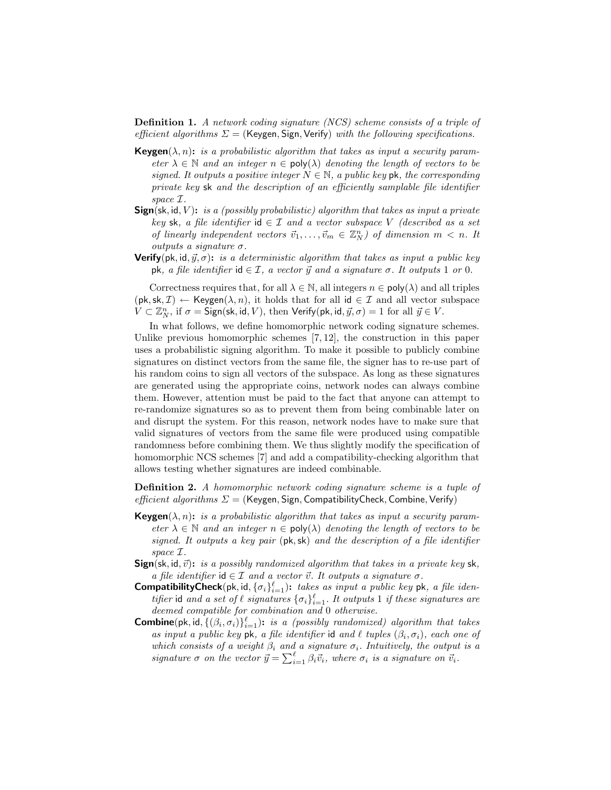Definition 1. A network coding signature (NCS) scheme consists of a triple of efficient algorithms  $\Sigma =$  (Keygen, Sign, Verify) with the following specifications.

- **Keygen**( $\lambda$ , n): is a probabilistic algorithm that takes as input a security parameter  $\lambda \in \mathbb{N}$  and an integer  $n \in \text{poly}(\lambda)$  denoting the length of vectors to be signed. It outputs a positive integer  $N \in \mathbb{N}$ , a public key pk, the corresponding private key sk and the description of an efficiently samplable file identifier space I.
- **Sign**(sk, id, V): is a (possibly probabilistic) algorithm that takes as input a private key sk, a file identifier id  $\in \mathcal{I}$  and a vector subspace V (described as a set of linearly independent vectors  $\vec{v}_1, \ldots, \vec{v}_m \in \mathbb{Z}_N^n$  of dimension  $m < n$ . It outputs a signature  $\sigma$ .
- **Verify**( $pk$ ,  $id$ ,  $\vec{y}$ , $\sigma$ ): *is a deterministic algorithm that takes as input a public key* pk, a file identifier id  $\in \mathcal{I}$ , a vector  $\vec{y}$  and a signature  $\sigma$ . It outputs 1 or 0.

Correctness requires that, for all  $\lambda \in \mathbb{N}$ , all integers  $n \in \text{poly}(\lambda)$  and all triples  $(\mathsf{pk}, \mathsf{sk}, \mathcal{I}) \leftarrow \mathsf{Keygen}(\lambda, n)$ , it holds that for all id  $\in \mathcal{I}$  and all vector subspace  $\tilde{V} \subset \mathbb{Z}_N^n$ , if  $\sigma = \mathsf{Sign}(\mathsf{sk}, \mathsf{id}, V)$ , then  $\mathsf{Verify}(\mathsf{pk}, \mathsf{id}, \vec{y}, \sigma) = 1$  for all  $\vec{y} \in V$ .

In what follows, we define homomorphic network coding signature schemes. Unlike previous homomorphic schemes [7, 12], the construction in this paper uses a probabilistic signing algorithm. To make it possible to publicly combine signatures on distinct vectors from the same file, the signer has to re-use part of his random coins to sign all vectors of the subspace. As long as these signatures are generated using the appropriate coins, network nodes can always combine them. However, attention must be paid to the fact that anyone can attempt to re-randomize signatures so as to prevent them from being combinable later on and disrupt the system. For this reason, network nodes have to make sure that valid signatures of vectors from the same file were produced using compatible randomness before combining them. We thus slightly modify the specification of homomorphic NCS schemes [7] and add a compatibility-checking algorithm that allows testing whether signatures are indeed combinable.

Definition 2. A homomorphic network coding signature scheme is a tuple of *efficient algorithms*  $\Sigma$  = (Keygen, Sign, CompatibilityCheck, Combine, Verify)

- **Keygen**( $\lambda$ , n): is a probabilistic algorithm that takes as input a security parameter  $\lambda \in \mathbb{N}$  and an integer  $n \in \text{poly}(\lambda)$  denoting the length of vectors to be signed. It outputs a key pair (pk,sk) and the description of a file identifier space I.
- **Sign**(sk, id,  $\vec{v}$ ): is a possibly randomized algorithm that takes in a private key sk, a file identifier id  $\in \mathcal{I}$  and a vector  $\vec{v}$ . It outputs a signature  $\sigma$ .
- **CompatibilityCheck**(pk, id,  $\{\sigma_i\}_{i=1}^{\ell}$ ): takes as input a public key pk, a file identifier id and a set of  $\ell$  signatures  ${\{\sigma_i\}}_{i=1}^{\ell}$ . It outputs 1 if these signatures are deemed compatible for combination and 0 otherwise.
- **Combine**(pk, id,  $\{(\beta_i, \sigma_i)\}_{i=1}^{\ell}$ ): is a (possibly randomized) algorithm that takes as input a public key pk, a file identifier id and  $\ell$  tuples  $(\beta_i, \sigma_i)$ , each one of which consists of a weight  $\beta_i$  and a signature  $\sigma_i$ . Intuitively, the output is a signature  $\sigma$  on the vector  $\vec{y} = \sum_{i=1}^{\ell} \beta_i \vec{v}_i$ , where  $\sigma_i$  is a signature on  $\vec{v}_i$ .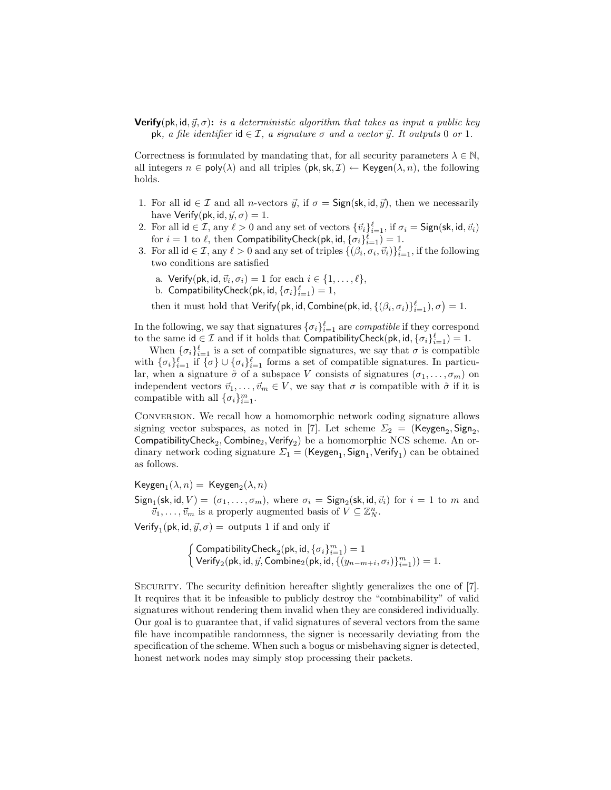**Verify**(pk, id,  $\vec{y}, \sigma$ ): is a deterministic algorithm that takes as input a public key pk, a file identifier id  $\in \mathcal{I}$ , a signature  $\sigma$  and a vector  $\vec{y}$ . It outputs 0 or 1.

Correctness is formulated by mandating that, for all security parameters  $\lambda \in \mathbb{N}$ , all integers  $n \in \text{poly}(\lambda)$  and all triples  $(\text{pk}, \text{sk}, \mathcal{I}) \leftarrow \text{Keygen}(\lambda, n)$ , the following holds.

- 1. For all id  $\in \mathcal{I}$  and all *n*-vectors  $\vec{y}$ , if  $\sigma = \text{Sign}(\textsf{sk}, \textsf{id}, \vec{y})$ , then we necessarily have Verify(pk, id,  $\vec{y}, \sigma$ ) = 1.
- 2. For all  $id \in \mathcal{I}$ , any  $\ell > 0$  and any set of vectors  ${\{\vec{v}_i\}}_{i=1}^{\ell}$ , if  $\sigma_i = \mathsf{Sign}(\mathsf{sk}, \mathsf{id}, \vec{v}_i)$ for  $i = 1$  to  $\ell$ , then CompatibilityCheck(pk, id,  $\{\sigma_i\}_{i=1}^{\ell}$ ) = 1.
- 3. For all  $id \in \mathcal{I}$ , any  $\ell > 0$  and any set of triples  $\{(\beta_i, \sigma_i, \vec{v}_i)\}_{i=1}^{\ell}$ , if the following two conditions are satisfied
	- a. Verify(pk, id,  $\vec{v}_i, \sigma_i$ ) = 1 for each  $i \in \{1, \ldots, \ell\},$
	- b. CompatibilityCheck $(\mathsf{pk}, \mathsf{id}, \{\sigma_i\}_{i=1}^\ell) = 1,$

then it must hold that  $\mathsf{Verify}(\mathsf{pk}, \mathsf{id}, \mathsf{Combine}(\mathsf{pk}, \mathsf{id}, \{(\beta_i, \sigma_i)\}_{i=1}^\ell), \sigma) = 1.$ 

In the following, we say that signatures  $\{\sigma_i\}_{i=1}^{\ell}$  are *compatible* if they correspond to the same  $\mathsf{id} \in \mathcal{I}$  and if it holds that CompatibilityCheck(pk,  $\mathsf{id}, \{\sigma_i\}_{i=1}^\ell) = 1$ .

When  $\{\sigma_i\}_{i=1}^{\ell}$  is a set of compatible signatures, we say that  $\sigma$  is compatible with  $\{\sigma_i\}_{i=1}^{\ell}$  if  $\{\sigma\} \cup \{\sigma_i\}_{i=1}^{\ell}$  forms a set of compatible signatures. In particular, when a signature  $\tilde{\sigma}$  of a subspace V consists of signatures  $(\sigma_1, \ldots, \sigma_m)$  on independent vectors  $\vec{v}_1, \ldots, \vec{v}_m \in V$ , we say that  $\sigma$  is compatible with  $\tilde{\sigma}$  if it is compatible with all  $\{\sigma_i\}_{i=1}^m$ .

Conversion. We recall how a homomorphic network coding signature allows signing vector subspaces, as noted in [7]. Let scheme  $\Sigma_2 = (\mathsf{Keygen}_2, \mathsf{Sign}_2,$  $\mathsf{ComputibilityCheck}_2, \mathsf{Combine}_2, \mathsf{Verify}_2)$  be a homomorphic NCS scheme. An ordinary network coding signature  $\Sigma_1$  = (Keygen<sub>1</sub>, Sign<sub>1</sub>, Verify<sub>1</sub>) can be obtained as follows.

 $\mathsf{Keygen}_1(\lambda,n) = \mathsf{Keygen}_2(\lambda,n)$ 

 $Sign_1(\textsf{sk}, \textsf{id}, V) = (\sigma_1, \ldots, \sigma_m)$ , where  $\sigma_i = Sign_2(\textsf{sk}, \textsf{id}, \vec{v}_i)$  for  $i = 1$  to m and  $\overline{\vec{v}_1}, \ldots, \vec{v}_m$  is a properly augmented basis of  $V \subseteq \mathbb{Z}_{N}^n$ .

Verify<sub>1</sub>(pk, id,  $\vec{y}, \sigma$ ) = outputs 1 if and only if

$$
\left\{\begin{matrix}\text{ComputibilityCheck}_{2}(\text{pk},\text{id},\{\sigma_{i}\}_{i=1}^{m})=1\\\text{Verify}_{2}(\text{pk},\text{id},\vec{y},\text{Combine}_{2}(\text{pk},\text{id},\{(y_{n-m+i},\sigma_{i})\}_{i=1}^{m}))=1.\end{matrix}\right.
$$

SECURITY. The security definition hereafter slightly generalizes the one of [7]. It requires that it be infeasible to publicly destroy the "combinability" of valid signatures without rendering them invalid when they are considered individually. Our goal is to guarantee that, if valid signatures of several vectors from the same file have incompatible randomness, the signer is necessarily deviating from the specification of the scheme. When such a bogus or misbehaving signer is detected, honest network nodes may simply stop processing their packets.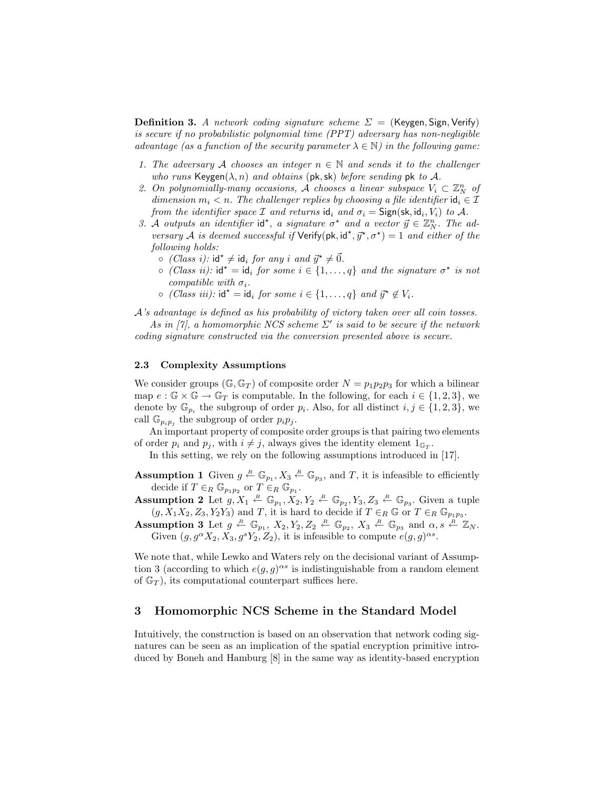**Definition 3.** A network coding signature scheme  $\Sigma = (Keygen, Sign, Verify)$ is secure if no probabilistic polynomial time (PPT) adversary has non-negligible advantage (as a function of the security parameter  $\lambda \in \mathbb{N}$ ) in the following game:

- 1. The adversary A chooses an integer  $n \in \mathbb{N}$  and sends it to the challenger who runs Keygen $(\lambda, n)$  and obtains (pk, sk) before sending pk to A.
- 2. On polynomially-many occasions, A chooses a linear subspace  $V_i \subset \mathbb{Z}_N^n$  of dimension  $m_i < n$ . The challenger replies by choosing a file identifier  $\mathsf{id}_i \in \mathcal{I}$ from the identifier space  $\mathcal I$  and returns  $\mathsf{id}_i$  and  $\sigma_i = \mathsf{Sign}(\mathsf{sk}, \mathsf{id}_i, V_i)$  to  $\mathcal A$ .
- 3. A outputs an identifier id<sup>\*</sup>, a signature  $\sigma^*$  and a vector  $\vec{y} \in \mathbb{Z}_N^n$ . The adversary A is deemed successful if  $Verify(pk, id^*, \vec{y}^*, \sigma^*) = 1$  and either of the following holds:
	- $\circ$  (Class i):  $id^* \neq id_i$  for any i and  $\vec{y}^* \neq \vec{0}$ .
	- $\circ$  (Class ii): id<sup>\*</sup> = id<sub>i</sub> for some  $i \in \{1, ..., q\}$  and the signature  $\sigma^*$  is not compatible with  $\sigma_i$ .
	- $\circ$  (Class iii): id<sup>\*</sup> = id<sub>i</sub> for some  $i \in \{1, \ldots, q\}$  and  $\vec{y}^* \notin V_i$ .

A's advantage is defined as his probability of victory taken over all coin tosses.

As in [7], a homomorphic NCS scheme  $\Sigma'$  is said to be secure if the network coding signature constructed via the conversion presented above is secure.

## 2.3 Complexity Assumptions

We consider groups  $(\mathbb{G}, \mathbb{G}_T)$  of composite order  $N = p_1p_2p_3$  for which a bilinear map  $e : \mathbb{G} \times \mathbb{G} \to \mathbb{G}_T$  is computable. In the following, for each  $i \in \{1,2,3\}$ , we denote by  $\mathbb{G}_{p_i}$  the subgroup of order  $p_i$ . Also, for all distinct  $i, j \in \{1, 2, 3\}$ , we call  $\mathbb{G}_{p_i p_j}$  the subgroup of order  $p_i p_j$ .

An important property of composite order groups is that pairing two elements of order  $p_i$  and  $p_j$ , with  $i \neq j$ , always gives the identity element  $1_{\mathbb{G}_T}$ .

In this setting, we rely on the following assumptions introduced in [17].

**Assumption 1** Given  $g \stackrel{R}{\leftarrow} \mathbb{G}_{p_1}, X_3 \stackrel{R}{\leftarrow} \mathbb{G}_{p_3}$ , and T, it is infeasible to efficiently decide if  $T \in_R \mathbb{G}_{p_1p_2}$  or  $T \in_R \mathbb{G}_{p_1}$ .

**Assumption 2** Let  $g, X_1 \stackrel{R}{\leftarrow} \mathbb{G}_{p_1}, X_2, Y_2 \stackrel{R}{\leftarrow} \mathbb{G}_{p_2}, Y_3, Z_3 \stackrel{R}{\leftarrow} \mathbb{G}_{p_3}$ . Given a tuple  $(g, X_1X_2, Z_3, Y_2Y_3)$  and T, it is hard to decide if  $T \in_R \mathbb{G}$  or  $T \in_R \mathbb{G}_{p_1p_3}$ .

Assumption 3 Let  $g \stackrel{R}{\leftarrow} \mathbb{G}_{p_1}, X_2, Y_2, Z_2 \stackrel{R}{\leftarrow} \mathbb{G}_{p_2}, X_3 \stackrel{R}{\leftarrow} \mathbb{G}_{p_3}$  and  $\alpha, s \stackrel{R}{\leftarrow} \mathbb{Z}_N$ . Given  $(g, g^{\alpha} X_2, X_3, g^s Y_2, Z_2)$ , it is infeasible to compute  $e(g, g)^{\alpha s}$ .

We note that, while Lewko and Waters rely on the decisional variant of Assumption 3 (according to which  $e(g, g)^{\alpha s}$  is indistinguishable from a random element of  $\mathbb{G}_T$ , its computational counterpart suffices here.

## 3 Homomorphic NCS Scheme in the Standard Model

Intuitively, the construction is based on an observation that network coding signatures can be seen as an implication of the spatial encryption primitive introduced by Boneh and Hamburg [8] in the same way as identity-based encryption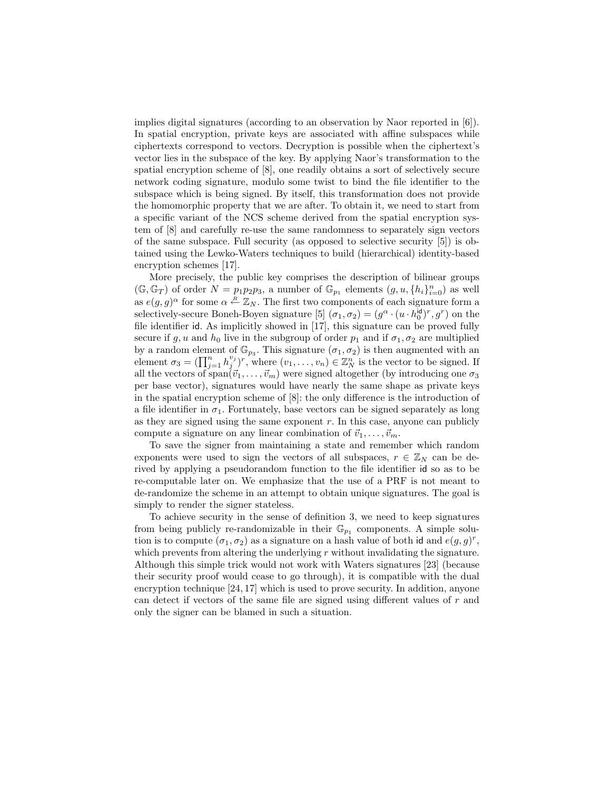implies digital signatures (according to an observation by Naor reported in [6]). In spatial encryption, private keys are associated with affine subspaces while ciphertexts correspond to vectors. Decryption is possible when the ciphertext's vector lies in the subspace of the key. By applying Naor's transformation to the spatial encryption scheme of [8], one readily obtains a sort of selectively secure network coding signature, modulo some twist to bind the file identifier to the subspace which is being signed. By itself, this transformation does not provide the homomorphic property that we are after. To obtain it, we need to start from a specific variant of the NCS scheme derived from the spatial encryption system of [8] and carefully re-use the same randomness to separately sign vectors of the same subspace. Full security (as opposed to selective security [5]) is obtained using the Lewko-Waters techniques to build (hierarchical) identity-based encryption schemes [17].

More precisely, the public key comprises the description of bilinear groups  $(\mathbb{G}, \mathbb{G}_T)$  of order  $N = p_1p_2p_3$ , a number of  $\mathbb{G}_{p_1}$  elements  $(g, u, \{h_i\}_{i=0}^n)$  as well as  $e(g, g)^\alpha$  for some  $\alpha \stackrel{R}{\leftarrow} \mathbb{Z}_N$ . The first two components of each signature form a selectively-secure Boneh-Boyen signature [5]  $(\sigma_1, \sigma_2) = (g^{\alpha} \cdot (u \cdot h_0^{\text{id}})^r, g^r)$  on the file identifier id. As implicitly showed in [17], this signature can be proved fully secure if g, u and  $h_0$  live in the subgroup of order  $p_1$  and if  $\sigma_1, \sigma_2$  are multiplied by a random element of  $\mathbb{G}_{p_3}$ . This signature  $(\sigma_1, \sigma_2)$  is then augmented with an element  $\sigma_3 = (\prod_{j=1}^n h_j^{v_j})^r$ , where  $(v_1, \ldots, v_n) \in \mathbb{Z}_N^n$  is the vector to be signed. If all the vectors of span $(\vec{v}_1, \ldots, \vec{v}_m)$  were signed altogether (by introducing one  $\sigma_3$ ) per base vector), signatures would have nearly the same shape as private keys in the spatial encryption scheme of [8]: the only difference is the introduction of a file identifier in  $\sigma_1$ . Fortunately, base vectors can be signed separately as long as they are signed using the same exponent  $r$ . In this case, anyone can publicly compute a signature on any linear combination of  $\vec{v}_1, \ldots, \vec{v}_m$ .

To save the signer from maintaining a state and remember which random exponents were used to sign the vectors of all subspaces,  $r \in \mathbb{Z}_N$  can be derived by applying a pseudorandom function to the file identifier id so as to be re-computable later on. We emphasize that the use of a PRF is not meant to de-randomize the scheme in an attempt to obtain unique signatures. The goal is simply to render the signer stateless.

To achieve security in the sense of definition 3, we need to keep signatures from being publicly re-randomizable in their  $\mathbb{G}_{p_1}$  components. A simple solution is to compute  $(\sigma_1, \sigma_2)$  as a signature on a hash value of both id and  $e(g, g)^r$ , which prevents from altering the underlying  $r$  without invalidating the signature. Although this simple trick would not work with Waters signatures [23] (because their security proof would cease to go through), it is compatible with the dual encryption technique [24, 17] which is used to prove security. In addition, anyone can detect if vectors of the same file are signed using different values of r and only the signer can be blamed in such a situation.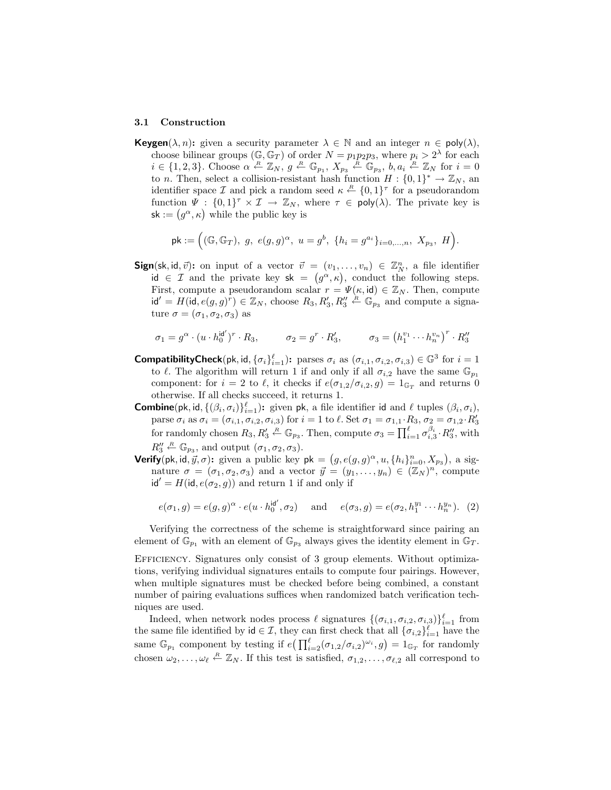#### 3.1 Construction

**Keygen**( $\lambda$ , *n*): given a security parameter  $\lambda \in \mathbb{N}$  and an integer  $n \in \text{poly}(\lambda)$ , choose bilinear groups  $(\mathbb{G}, \mathbb{G}_T)$  of order  $N = p_1 p_2 p_3$ , where  $p_i > 2^{\lambda}$  for each  $i \in \{1,2,3\}$ . Choose  $\alpha \stackrel{R}{\leftarrow} \mathbb{Z}_N$ ,  $g \stackrel{R}{\leftarrow} \mathbb{G}_{p_1}$ ,  $X_{p_3} \stackrel{R}{\leftarrow} \mathbb{G}_{p_3}$ ,  $b, a_i \stackrel{R}{\leftarrow} \mathbb{Z}_N$  for  $i = 0$ to *n*. Then, select a collision-resistant hash function  $H: \{0,1\}^* \to \mathbb{Z}_N$ , an identifier space  $\mathcal I$  and pick a random seed  $\kappa \stackrel{R}{\leftarrow} \{0,1\}^{\tau}$  for a pseudorandom function  $\Psi : \{0,1\}^{\tau} \times \mathcal{I} \to \mathbb{Z}_N$ , where  $\tau \in \mathsf{poly}(\lambda)$ . The private key is  $sk := (g^{\alpha}, \kappa)$  while the public key is

$$
\mathsf{pk} := \Big( (\mathbb{G}, \mathbb{G}_T), \ g, \ e(g,g)^\alpha, \ u = g^b, \ \{h_i = g^{a_i}\}_{i=0,\dots,n}, \ X_{p_3}, \ H \Big).
$$

**Sign**(sk, id,  $\vec{v}$ ): on input of a vector  $\vec{v} = (v_1, \ldots, v_n) \in \mathbb{Z}_N^n$ , a file identifier id  $\in \mathcal{I}$  and the private key sk =  $(g^{\alpha}, \kappa)$ , conduct the following steps. First, compute a pseudorandom scalar  $r = \Psi(\kappa, id) \in \mathbb{Z}_N$ . Then, compute  $\mathsf{id}' = H(\mathsf{id}, e(g, g)^r) \in \mathbb{Z}_N$ , choose  $R_3, R'_3, R''_3 \stackrel{\text{R}}{\leftarrow} \mathbb{G}_{p_3}$  and compute a signature  $\sigma = (\sigma_1, \sigma_2, \sigma_3)$  as

$$
\sigma_1 = g^{\alpha} \cdot (u \cdot h_0^{\mathsf{id}^{\prime}})^r \cdot R_3, \qquad \sigma_2 = g^r \cdot R_3^{\prime}, \qquad \sigma_3 = (h_1^{v_1} \cdots h_n^{v_n})^r \cdot R_3^{\prime\prime}
$$

- **CompatibilityCheck**(pk, id,  $\{\sigma_i\}_{i=1}^{\ell}$ ): parses  $\sigma_i$  as  $(\sigma_{i,1}, \sigma_{i,2}, \sigma_{i,3}) \in \mathbb{G}^3$  for  $i=1$ to  $\ell$ . The algorithm will return 1 if and only if all  $\sigma_{i,2}$  have the same  $\mathbb{G}_{p_1}$ component: for  $i = 2$  to  $\ell$ , it checks if  $e(\sigma_{1,2}/\sigma_{i,2}, g) = 1_{\mathbb{G}_T}$  and returns 0 otherwise. If all checks succeed, it returns 1.
- **Combine**(pk, id,  $\{(\beta_i, \sigma_i)\}_{i=1}^{\ell}$ ): given pk, a file identifier id and  $\ell$  tuples  $(\beta_i, \sigma_i)$ , parse  $\sigma_i$  as  $\sigma_i = (\sigma_{i,1}, \sigma_{i,2}, \sigma_{i,3})$  for  $i = 1$  to  $\ell$ . Set  $\sigma_1 = \sigma_{1,1} \cdot R_3$ ,  $\sigma_2 = \sigma_{1,2} \cdot R'_3$ for randomly chosen  $R_3, R'_3 \stackrel{R}{\leftarrow} \mathbb{G}_{p_3}$ . Then, compute  $\sigma_3 = \prod_{i=1}^{\ell} \sigma_{i,3}^{\beta_i} \cdot R''_3$ , with  $R_3^{\prime\prime} \stackrel{R}{\leftarrow} \mathbb{G}_{p_3}$ , and output  $(\sigma_1, \sigma_2, \sigma_3)$ .
- **Verify**(pk, id,  $\vec{y}, \sigma$ ): given a public key pk =  $(g, e(g, g)^{\alpha}, u, \{h_i\}_{i=0}^n, X_{p_3})$ , a signature  $\sigma = (\sigma_1, \sigma_2, \sigma_3)$  and a vector  $\vec{y} = (y_1, \ldots, y_n) \in (\mathbb{Z}_N)^n$ , compute  $id' = H(id, e(\sigma_2, g))$  and return 1 if and only if

$$
e(\sigma_1, g) = e(g, g)^{\alpha} \cdot e(u \cdot h_0^{\mathsf{id}'}, \sigma_2) \quad \text{and} \quad e(\sigma_3, g) = e(\sigma_2, h_1^{y_1} \cdots h_n^{y_n}). \tag{2}
$$

Verifying the correctness of the scheme is straightforward since pairing an element of  $\mathbb{G}_{p_1}$  with an element of  $\mathbb{G}_{p_3}$  always gives the identity element in  $\mathbb{G}_T$ .

Efficiency. Signatures only consist of 3 group elements. Without optimizations, verifying individual signatures entails to compute four pairings. However, when multiple signatures must be checked before being combined, a constant number of pairing evaluations suffices when randomized batch verification techniques are used.

Indeed, when network nodes process  $\ell$  signatures  $\{(\sigma_{i,1}, \sigma_{i,2}, \sigma_{i,3})\}_{i=1}^{\ell}$  from the same file identified by  $id \in \mathcal{I}$ , they can first check that all  $\{\sigma_{i,2}\}_{i=1}^{\ell}$  have the same  $\mathbb{G}_{p_1}$  component by testing if  $e\left(\prod_{i=2}^{\ell}(\sigma_{1,2}/\sigma_{i,2})^{\omega_i},g\right) = 1_{\mathbb{G}_T}$  for randomly chosen  $\omega_2, \ldots, \omega_\ell \stackrel{R}{\leftarrow} \mathbb{Z}_N$ . If this test is satisfied,  $\sigma_{1,2}, \ldots, \sigma_{\ell,2}$  all correspond to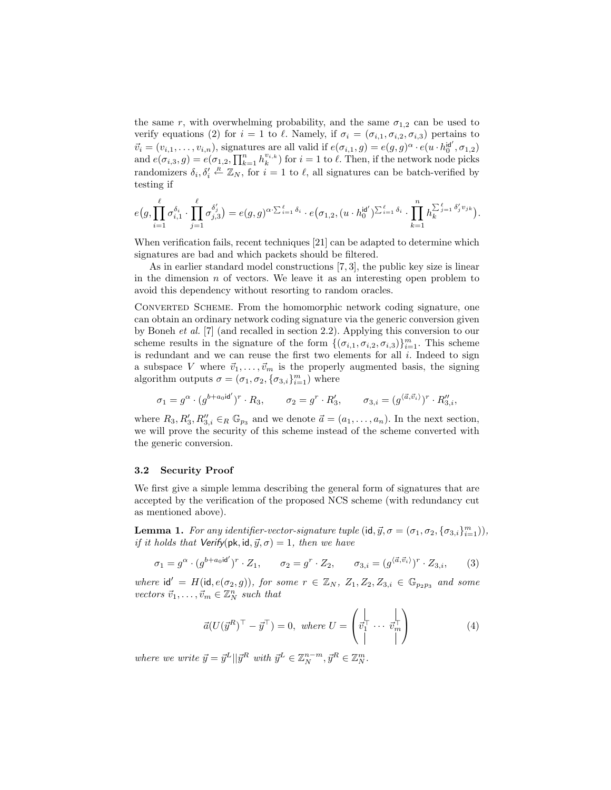the same r, with overwhelming probability, and the same  $\sigma_{1,2}$  can be used to verify equations (2) for  $i = 1$  to  $\ell$ . Namely, if  $\sigma_i = (\sigma_{i,1}, \sigma_{i,2}, \sigma_{i,3})$  pertains to  $\vec{v}_i = (v_{i,1}, \ldots, v_{i,n})$ , signatures are all valid if  $e(\sigma_{i,1}, g) = e(g, g)^\alpha \cdot e(u \cdot h_0^{\mathsf{id}'}, \sigma_{1,2})$ and  $e(\sigma_{i,3}, g) = e(\sigma_{1,2}, \prod_{k=1}^n h_k^{v_{i,k}})$  for  $i = 1$  to  $\ell$ . Then, if the network node picks randomizers  $\delta_i, \delta'_i \stackrel{R}{\leftarrow} \mathbb{Z}_N$ , for  $i = 1$  to  $\ell$ , all signatures can be batch-verified by testing if

$$
e\big(g,\prod_{i=1}^\ell \sigma_{i,1}^{\delta_i}\cdot \prod_{j=1}^\ell \sigma_{j,3}^{\delta_j'}\big)=e(g,g)^{\alpha\cdot \sum_{i=1}^\ell \delta_i}\cdot e\big(\sigma_{1,2},(u\cdot h_0^{\mathsf{id}^{\prime}})^{\sum_{i=1}^\ell \delta_i}\cdot \prod_{k=1}^n h_k^{\sum_{j=1}^\ell \delta_j^{\prime}v_{jk}}\big).
$$

When verification fails, recent techniques [21] can be adapted to determine which signatures are bad and which packets should be filtered.

As in earlier standard model constructions [7, 3], the public key size is linear in the dimension  $n$  of vectors. We leave it as an interesting open problem to avoid this dependency without resorting to random oracles.

CONVERTED SCHEME. From the homomorphic network coding signature, one can obtain an ordinary network coding signature via the generic conversion given by Boneh et al. [7] (and recalled in section 2.2). Applying this conversion to our scheme results in the signature of the form  $\{(\sigma_{i,1}, \sigma_{i,2}, \sigma_{i,3})\}_{i=1}^m$ . This scheme is redundant and we can reuse the first two elements for all  $i$ . Indeed to sign a subspace V where  $\vec{v}_1, \ldots, \vec{v}_m$  is the properly augmented basis, the signing algorithm outputs  $\sigma = (\sigma_1, \sigma_2, \{\sigma_{3,i}\}_{i=1}^m)$  where

$$
\sigma_1 = g^{\alpha} \cdot (g^{b+a_0 \mathsf{id}'})^r \cdot R_3, \qquad \sigma_2 = g^r \cdot R'_3, \qquad \sigma_{3,i} = (g^{\langle \vec{a}, \vec{v}_i \rangle})^r \cdot R''_{3,i},
$$

where  $R_3, R'_3, R''_{3,i} \in_R \mathbb{G}_{p_3}$  and we denote  $\vec{a} = (a_1, \ldots, a_n)$ . In the next section, we will prove the security of this scheme instead of the scheme converted with the generic conversion.

## 3.2 Security Proof

We first give a simple lemma describing the general form of signatures that are accepted by the verification of the proposed NCS scheme (with redundancy cut as mentioned above).

**Lemma 1.** For any identifier-vector-signature tuple  $(\mathsf{id}, \vec{y}, \sigma = (\sigma_1, \sigma_2, {\{\sigma_{3,i}\}}_{i=1}^m)),$ if it holds that Verify(pk, id,  $\vec{y}, \sigma$ ) = 1, then we have

$$
\sigma_1 = g^{\alpha} \cdot (g^{b+a_0 \mathbf{i} \mathbf{d}'})^r \cdot Z_1, \qquad \sigma_2 = g^r \cdot Z_2, \qquad \sigma_{3,i} = (g^{\langle \vec{a}, \vec{v}_i \rangle})^r \cdot Z_{3,i}, \qquad (3)
$$

where  $\mathsf{id}' = H(\mathsf{id}, e(\sigma_2, g))$ , for some  $r \in \mathbb{Z}_N$ ,  $Z_1, Z_2, Z_{3,i} \in \mathbb{G}_{p_2p_3}$  and some vectors  $\vec{v}_1, \ldots, \vec{v}_m \in \mathbb{Z}_N^n$  such that

$$
\vec{a}(U(\vec{y}^R)^\top - \vec{y}^\top) = 0, \text{ where } U = \begin{pmatrix} \downarrow & \downarrow \\ \vec{v}_1^\top & \cdots & \vec{v}_m^\top \\ \downarrow & \downarrow \end{pmatrix} \tag{4}
$$

where we write  $\vec{y} = \vec{y}^L || \vec{y}^R$  with  $\vec{y}^L \in \mathbb{Z}_N^{n-m}$ ,  $\vec{y}^R \in \mathbb{Z}_N^m$ .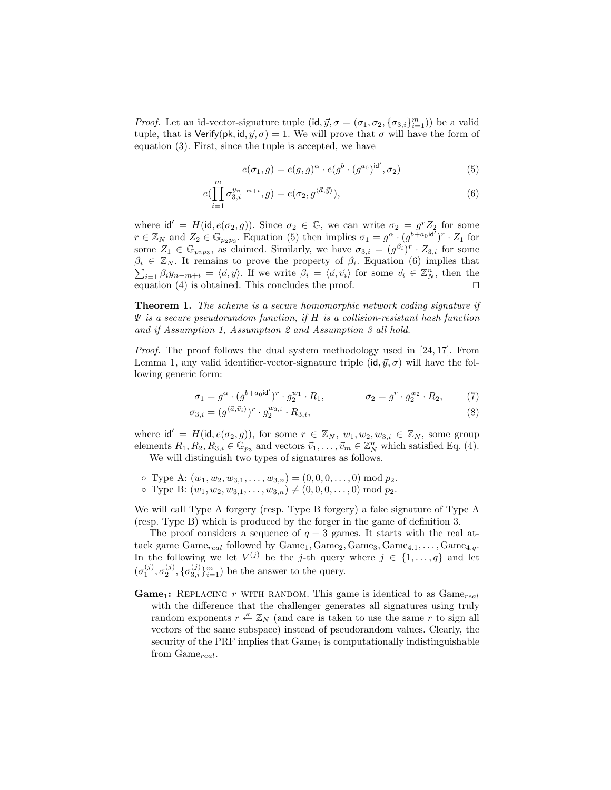*Proof.* Let an id-vector-signature tuple  $(id, \vec{y}, \sigma = (\sigma_1, \sigma_2, {\{\sigma_{3,i}\}}_{i=1}^m))$  be a valid tuple, that is Verify(pk, id,  $\vec{y}, \sigma$ ) = 1. We will prove that  $\sigma$  will have the form of equation (3). First, since the tuple is accepted, we have

$$
e(\sigma_1, g) = e(g, g)^{\alpha} \cdot e(g^b \cdot (g^{a_0})^{\mathrm{id}'}, \sigma_2)
$$
 (5)

$$
e(\prod_{i=1}^{m} \sigma_{3,i}^{y_{n-m+i}}, g) = e(\sigma_2, g^{\langle \vec{a}, \vec{y} \rangle}), \tag{6}
$$

where  $\mathsf{id}' = H(\mathsf{id}, e(\sigma_2, g))$ . Since  $\sigma_2 \in \mathbb{G}$ , we can write  $\sigma_2 = g^r Z_2$  for some  $r \in \mathbb{Z}_N$  and  $Z_2 \in \mathbb{G}_{p_2p_3}$ . Equation (5) then implies  $\sigma_1 = g^{\alpha} \cdot (g^{b \overline{+} a_0 \cdot \overline{d'}})^r \cdot Z_1$  for some  $Z_1 \in \mathbb{G}_{p_2p_3}$ , as claimed. Similarly, we have  $\sigma_{3,i} = (g^{\beta_i})^r \cdot Z_{3,i}$  for some  $\beta_i \in \mathbb{Z}_N$ . It remains to prove the property of  $\beta_i$ . Equation (6) implies that  $\sum_{i=1} \beta_i y_{n-m+i} = \langle \vec{a}, \vec{y} \rangle$ . If we write  $\beta_i = \langle \vec{a}, \vec{v}_i \rangle$  for some  $\vec{v}_i \in \mathbb{Z}_N^n$ , then the equation (4) is obtained. This concludes the proof.  $\Box$ 

Theorem 1. The scheme is a secure homomorphic network coding signature if  $\Psi$  is a secure pseudorandom function, if H is a collision-resistant hash function and if Assumption 1, Assumption 2 and Assumption 3 all hold.

Proof. The proof follows the dual system methodology used in [24, 17]. From Lemma 1, any valid identifier-vector-signature triple  $(id, \vec{y}, \sigma)$  will have the following generic form:

$$
\sigma_1 = g^{\alpha} \cdot (g^{b+a_0 \mathbf{i} \mathbf{d}'})^r \cdot g_2^{w_1} \cdot R_1, \qquad \sigma_2 = g^r \cdot g_2^{w_2} \cdot R_2,\tag{7}
$$

$$
\sigma_{3,i} = (g^{\langle \vec{a}, \vec{v}_i \rangle})^r \cdot g_2^{w_{3,i}} \cdot R_{3,i},\tag{8}
$$

where  $\mathsf{id}' = H(\mathsf{id}, e(\sigma_2, g))$ , for some  $r \in \mathbb{Z}_N$ ,  $w_1, w_2, w_{3,i} \in \mathbb{Z}_N$ , some group elements  $R_1, R_2, R_{3,i} \in \mathbb{G}_{p_3}$  and vectors  $\vec{v}_1, \ldots, \vec{v}_m \in \mathbb{Z}_N^n$  which satisfied Eq. (4). We will distinguish two types of signatures as follows.

 $\circ$  Type A:  $(w_1, w_2, w_{3,1}, \ldots, w_{3,n}) = (0, 0, 0, \ldots, 0) \bmod p_2.$ 

 $\circ$  Type B:  $(w_1, w_2, w_{3,1}, \ldots, w_{3,n}) \neq (0, 0, 0, \ldots, 0) \text{ mod } p_2$ .

We will call Type A forgery (resp. Type B forgery) a fake signature of Type A (resp. Type B) which is produced by the forger in the game of definition 3.

The proof considers a sequence of  $q + 3$  games. It starts with the real attack game  $\text{Game}_{real}$  followed by  $\text{Game}_1, \text{Game}_2, \text{Game}_3, \text{Game}_{4.1}, \ldots, \text{Game}_{4.q}.$ In the following we let  $V^{(j)}$  be the j-th query where  $j \in \{1, ..., q\}$  and let  $(\sigma_1^{(j)}, \sigma_2^{(j)}, \{\sigma_{3,i}^{(j)}\}_{i=1}^m)$  be the answer to the query.

**Game**<sub>1</sub>: REPLACING r WITH RANDOM. This game is identical to as  $\text{Game}_{real}$ with the difference that the challenger generates all signatures using truly random exponents  $r \stackrel{R}{\leftarrow} \mathbb{Z}_N$  (and care is taken to use the same r to sign all vectors of the same subspace) instead of pseudorandom values. Clearly, the security of the PRF implies that  $Game<sub>1</sub>$  is computationally indistinguishable from  $Game_{real}$ .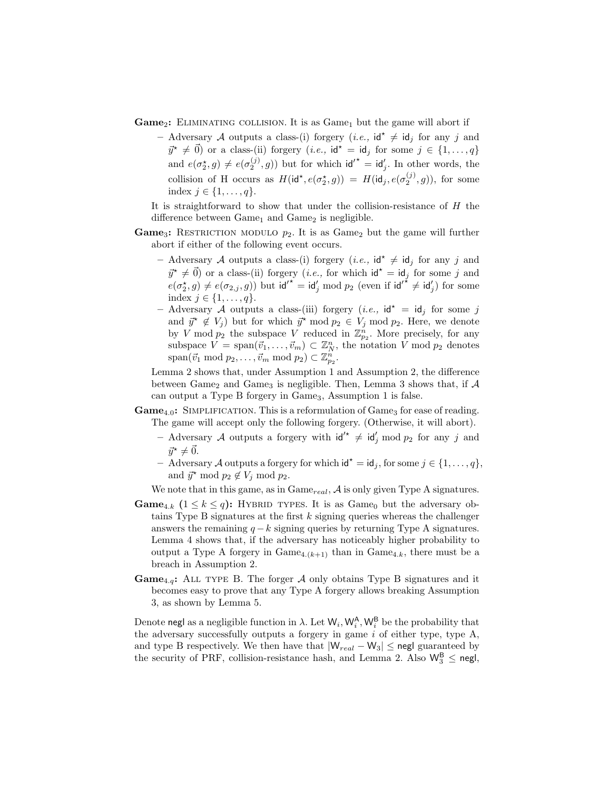**Game**<sub>2</sub>: ELIMINATING COLLISION. It is as  $\text{Game}_1$  but the game will abort if

- Adversary A outputs a class-(i) forgery (*i.e.*,  $\mathsf{id}^* \neq \mathsf{id}_j$  for any j and  $\vec{y}^* \neq \vec{0}$  or a class-(ii) forgery (*i.e.*,  $\mathsf{id}^* = \mathsf{id}_i$  for some  $j \in \{1, \ldots, q\}$ and  $e(\sigma_2^*,g) \neq e(\sigma_2^{(j)},g)$  but for which  $\mathsf{id'}^* = \mathsf{id}'_j$ . In other words, the collision of H occurs as  $H(\mathsf{id}^{\star}, e(\sigma_2^{\star}, g)) = H(\mathsf{id}_j, e(\sigma_2^{(j)}, g))$ , for some index  $j \in \{1, \ldots, q\}.$ 

It is straightforward to show that under the collision-resistance of H the difference between  $Game<sub>1</sub>$  and  $Game<sub>2</sub>$  is negligible.

- **Game**<sub>3</sub>: RESTRICTION MODULO  $p_2$ . It is as Game<sub>2</sub> but the game will further abort if either of the following event occurs.
	- Adversary A outputs a class-(i) forgery (*i.e.*,  $\mathsf{id}^* \neq \mathsf{id}_j$  for any j and  $\vec{y}^* \neq \vec{0}$  or a class-(ii) forgery (*i.e.*, for which  $\mathsf{id}^* = \mathsf{id}_j$  for some j and  $e(\sigma_2^*,g) \neq e(\sigma_{2,j},g)$  but  $\mathrm{id'}^* = \mathrm{id'}_j \bmod p_2$  (even if  $\mathrm{id'}^* \neq \mathrm{id'}_j$ ) for some index  $j \in \{1, \ldots, q\}.$
	- Adversary A outputs a class-(iii) forgery (*i.e.*,  $\mathsf{id}^* = \mathsf{id}_j$  for some j and  $\vec{y}^* \notin V_j$  but for which  $\vec{y}^* \mod p_2 \in V_j \mod p_2$ . Here, we denote by V mod  $p_2$  the subspace V reduced in  $\mathbb{Z}_{p_2}^n$ . More precisely, for any subspace  $V = \text{span}(\vec{v}_1, \dots, \vec{v}_m) \subset \mathbb{Z}_N^n$ , the notation V mod  $p_2$  denotes  $\text{span}(\vec{v}_1 \text{ mod } p_2, \dots, \vec{v}_m \text{ mod } p_2) \subset \mathbb{Z}_{p_2}^n.$

Lemma 2 shows that, under Assumption 1 and Assumption 2, the difference between Game<sub>2</sub> and Game<sub>3</sub> is negligible. Then, Lemma 3 shows that, if  $\mathcal A$ can output a Type B forgery in Game<sub>3</sub>, Assumption 1 is false.

- $Game_{4,0}$ : SIMPLIFICATION. This is a reformulation of  $Game_3$  for ease of reading. The game will accept only the following forgery. (Otherwise, it will abort).
	- Adversary A outputs a forgery with  $\mathsf{id}'^* \neq \mathsf{id}'_j \bmod p_2$  for any j and  $\vec{u}^* \neq \vec{0}$ .
	- Adversary A outputs a forgery for which  $\mathsf{id}^* = \mathsf{id}_j$ , for some  $j \in \{1, ..., q\}$ , and  $\vec{y}^* \mod p_2 \not\in V_j \mod p_2$ .

We note that in this game, as in  $\text{Game}_{real}$ ,  $\mathcal A$  is only given Type A signatures.

- **Game**<sub>4.k</sub>  $(1 \leq k \leq q)$ : HYBRID TYPES. It is as Game<sub>0</sub> but the adversary obtains Type B signatures at the first  $k$  signing queries whereas the challenger answers the remaining  $q - k$  signing queries by returning Type A signatures. Lemma 4 shows that, if the adversary has noticeably higher probability to output a Type A forgery in  $\text{Game}_{4.(k+1)}$  than in  $\text{Game}_{4.k}$ , there must be a breach in Assumption 2.
- **Game**<sub>4.g</sub>: ALL TYPE B. The forger A only obtains Type B signatures and it becomes easy to prove that any Type A forgery allows breaking Assumption 3, as shown by Lemma 5.

Denote negl as a negligible function in  $\lambda$ . Let  $\mathsf{W}_i, \mathsf{W}_i^{\mathsf{A}}, \mathsf{W}_i^{\mathsf{B}}$  be the probability that the adversary successfully outputs a forgery in game  $i$  of either type, type A, and type B respectively. We then have that  $|W_{real} - W_3| \leq$  negl guaranteed by the security of PRF, collision-resistance hash, and Lemma 2. Also  $\mathsf{W}_{3}^{\mathsf{B}} \leq \mathsf{negl}$ ,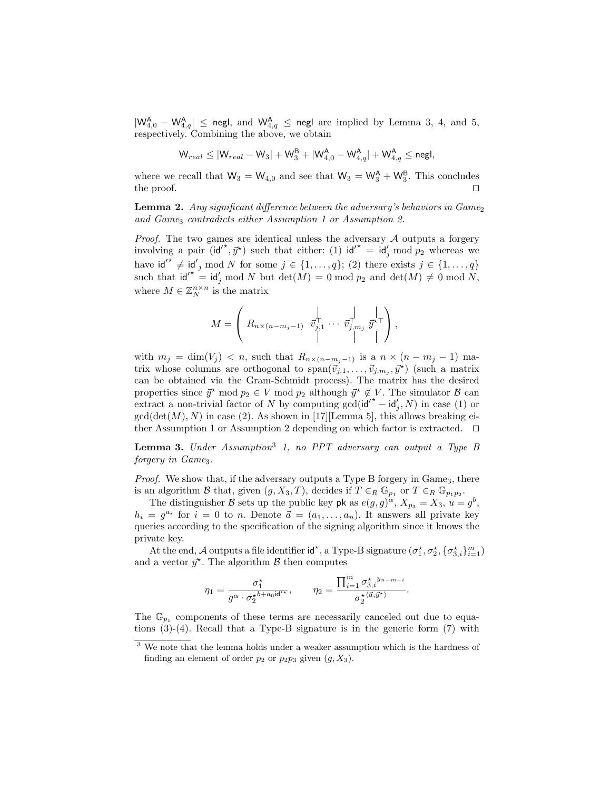$|W^{\mathsf{A}}_{4,0} - W^{\mathsf{A}}_{4,q}| \leq$  negl, and  $W^{\mathsf{A}}_{4,q} \leq$  negl are implied by Lemma 3, 4, and 5, respectively. Combining the above, we obtain

$$
{\mathsf W}_{real} \leq |{\mathsf W}_{real} - {\mathsf W}_{3}| + {\mathsf W}_{3}^{\mathsf B} + |{\mathsf W}_{4,0}^{\mathsf A} - {\mathsf W}_{4,q}^{\mathsf A}| + {\mathsf W}_{4,q}^{\mathsf A} \leq {\mathsf{negl}},
$$

where we recall that  $W_3 = W_{4,0}$  and see that  $W_3 = W_3^A + W_3^B$ . This concludes the proof.  $\Box$ 

**Lemma 2.** Any significant difference between the adversary's behaviors in  $Game_2$ and Game<sub>3</sub> contradicts either Assumption 1 or Assumption 2.

*Proof.* The two games are identical unless the adversary  $A$  outputs a forgery involving a pair  $(id'^*, \vec{y}^*)$  such that either: (1)  $id'^* = id'_j \mod p_2$  whereas we have  $\mathsf{id'}^* \neq \mathsf{id'}_j \mod N$  for some  $j \in \{1, \ldots, q\};$  (2) there exists  $j \in \{1, \ldots, q\}$ such that  $\mathsf{id'}^* = \mathsf{id}'_j \bmod N$  but  $\det(M) = 0 \bmod p_2$  and  $\det(M) \neq 0 \bmod N$ , where  $M \in \mathbb{Z}_N^{n \times n}$  is the matrix

$$
M = \left( R_{n \times (n-m_j-1)} \overrightarrow{v}_{j,1}^{\dagger} \cdots \overrightarrow{v}_{j,m_j}^{\dagger} \overrightarrow{y}^{\dagger} \overrightarrow{y} \right),
$$

with  $m_j = \dim(V_j) < n$ , such that  $R_{n \times (n-m_j-1)}$  is a  $n \times (n-m_j-1)$  matrix whose columns are orthogonal to  $\text{span}(\vec{v}_{j,1},\ldots,\vec{v}_{j,m_j},\vec{y}^{\star})$  (such a matrix can be obtained via the Gram-Schmidt process). The matrix has the desired properties since  $\vec{y}^* \mod p_2 \in V \mod p_2$  although  $\vec{y}^* \notin V$ . The simulator  $\beta$  can extract a non-trivial factor of N by computing  $gcd(id'^* - id'_j, N)$  in case (1) or  $gcd(det(M), N)$  in case (2). As shown in [17][Lemma 5], this allows breaking either Assumption 1 or Assumption 2 depending on which factor is extracted.  $\square$ 

**Lemma 3.** Under Assumption<sup>3</sup> 1, no PPT adversary can output a Type B forgery in Game<sub>3</sub>.

*Proof.* We show that, if the adversary outputs a Type B forgery in  $Game_3$ , there is an algorithm B that, given  $(g, X_3, T)$ , decides if  $T \in_R \mathbb{G}_{p_1}$  or  $T \in_R \mathbb{G}_{p_1p_2}$ .

The distinguisher B sets up the public key pk as  $e(g, g)^{\alpha}$ ,  $X_{p_3} = X_3$ ,  $u = g^b$ ,  $h_i = g^{a_i}$  for  $i = 0$  to n. Denote  $\vec{a} = (a_1, \ldots, a_n)$ . It answers all private key queries according to the specification of the signing algorithm since it knows the private key.

At the end, A outputs a file identifier  $id^*$ , a Type-B signature  $(\sigma_1^*, \sigma_2^*, \{\sigma_{3,i}^*,\}_{i=1}^m)$ and a vector  $\vec{y}^*$ . The algorithm  $\beta$  then computes

$$
\eta_1=\frac{\sigma_1^\star}{g^\alpha\cdot\sigma_2^{\star b+a_0\textup{id}'^\star}},\qquad \eta_2=\frac{\prod_{i=1}^m\sigma_{3,i}^{\star\ y_n-m+i}}{\sigma_2^{\star\langle\vec{a},\vec{y}^\star\rangle}}.
$$

The  $\mathbb{G}_{p_1}$  components of these terms are necessarily canceled out due to equations (3)-(4). Recall that a Type-B signature is in the generic form (7) with

 $3$  We note that the lemma holds under a weaker assumption which is the hardness of finding an element of order  $p_2$  or  $p_2p_3$  given  $(g, X_3)$ .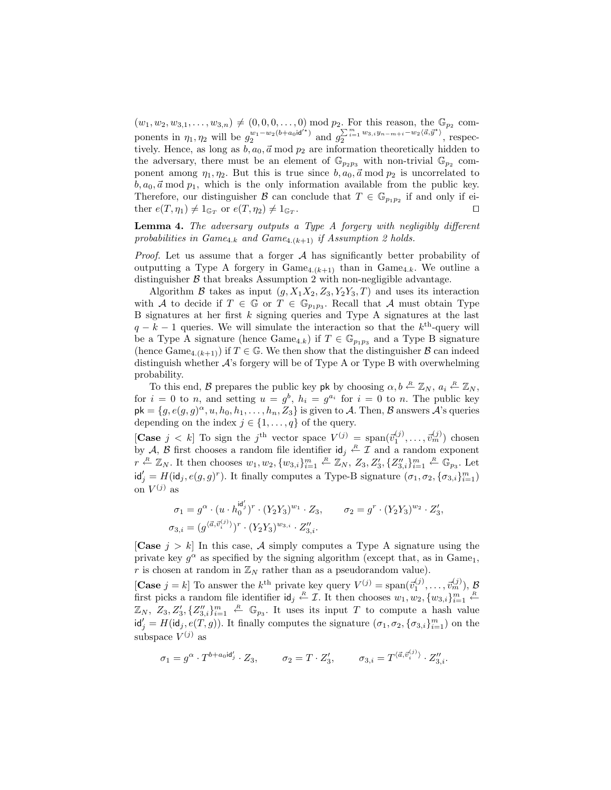$(w_1, w_2, w_{3,1}, \ldots, w_{3,n}) \neq (0, 0, 0, \ldots, 0) \text{ mod } p_2$ . For this reason, the  $\mathbb{G}_{p_2}$  components in  $\eta_1, \eta_2$  will be  $g_2^{w_1-w_2(b+a_0)d'}$  and  $g_2^{\sum_{i=1}^m w_{3,i}y_{n-m+i}-w_2\langle \vec{a}, \vec{y}^* \rangle}$  $\frac{\sum_{i=1}^{\infty} w_{3,i}y_{n-m+i} - w_2\langle u, y \rangle}{2}$ , respectively. Hence, as long as  $b, a_0, \vec{a} \mod p_2$  are information theoretically hidden to the adversary, there must be an element of  $\mathbb{G}_{p_2p_3}$  with non-trivial  $\mathbb{G}_{p_2}$  component among  $\eta_1, \eta_2$ . But this is true since  $b, a_0, \vec{a} \mod p_2$  is uncorrelated to  $b, a_0, \vec{a} \mod p_1$ , which is the only information available from the public key. Therefore, our distinguisher  $\mathcal{B}$  can conclude that  $T \in \mathbb{G}_{p_1p_2}$  if and only if either  $e(T, \eta_1) \neq 1_{\mathbb{G}_T}$  or  $e(T, \eta_2) \neq 1_{\mathbb{G}_T}$ . The contract of the contract of the contract of the contract of the contract of the contract of the contract of the contract of the contract of the contract of the contract of the contract of the contract of the contract

Lemma 4. The adversary outputs a Type A forgery with negligibly different probabilities in  $Game_{4,k}$  and  $Game_{4.(k+1)}$  if Assumption 2 holds.

*Proof.* Let us assume that a forger  $A$  has significantly better probability of outputting a Type A forgery in  $\text{Game}_{4.(k+1)}$  than in  $\text{Game}_{4.k}$ . We outline a distinguisher  $\beta$  that breaks Assumption 2 with non-negligible advantage.

Algorithm B takes as input  $(g, X_1X_2, Z_3, Y_2Y_3, T)$  and uses its interaction with A to decide if  $T \in \mathbb{G}$  or  $T \in \mathbb{G}_{p_1p_3}$ . Recall that A must obtain Type B signatures at her first  $k$  signing queries and Type A signatures at the last  $q - k - 1$  queries. We will simulate the interaction so that the  $k^{\text{th}}$ -query will be a Type A signature (hence  $\text{Game}_{4,k}$ ) if  $T \in \mathbb{G}_{p_1p_3}$  and a Type B signature (hence  $\text{Game}_{4\cdot (k+1)}$ ) if  $T \in \mathbb{G}$ . We then show that the distinguisher  $\mathcal B$  can indeed distinguish whether A's forgery will be of Type A or Type B with overwhelming probability.

To this end, B prepares the public key pk by choosing  $\alpha, b \stackrel{R}{\leftarrow} \mathbb{Z}_N$ ,  $a_i \stackrel{R}{\leftarrow} \mathbb{Z}_N$ , for  $i = 0$  to n, and setting  $u = g^b$ ,  $h_i = g^{a_i}$  for  $i = 0$  to n. The public key  $pk = \{g, e(g, g)^{\alpha}, u, h_0, h_1, \ldots, h_n, Z_3\}$  is given to A. Then, B answers A's queries depending on the index  $j \in \{1, \ldots, q\}$  of the query.

[Case  $j < k$ ] To sign the j<sup>th</sup> vector space  $V^{(j)} = \text{span}(\vec{v}_1^{(j)}, \dots, \vec{v}_m^{(j)})$  chosen by A, B first chooses a random file identifier  $\mathsf{id}_j \stackrel{R}{\leftarrow} \mathcal{I}$  and a random exponent  $r \stackrel{R}{\leftarrow} \mathbb{Z}_N$ . It then chooses  $w_1, w_2, \{w_{3,i}\}_{i=1}^m \stackrel{R}{\leftarrow} \mathbb{Z}_N$ ,  $Z_3, Z'_3, \{Z''_{3,i}\}_{i=1}^m \stackrel{R}{\leftarrow} \mathbb{G}_{p_3}$ . Let  $\mathsf{id}'_j = H(\mathsf{id}_j, e(g, g)^r)$ . It finally computes a Type-B signature  $(\sigma_1, \sigma_2, {\{\sigma_{3,i}\}}_{i=1}^m)$ on  $V^{(j)}$  as

$$
\sigma_1 = g^{\alpha} \cdot (u \cdot h_0^{\mathsf{id}'_j})^r \cdot (Y_2 Y_3)^{w_1} \cdot Z_3, \qquad \sigma_2 = g^r \cdot (Y_2 Y_3)^{w_2} \cdot Z_3',
$$
  

$$
\sigma_{3,i} = (g^{\langle \vec{a}, \vec{v}_i^{(j)} \rangle})^r \cdot (Y_2 Y_3)^{w_{3,i}} \cdot Z_{3,i}''.
$$

[Case  $j > k$ ] In this case, A simply computes a Type A signature using the private key  $g^{\alpha}$  as specified by the signing algorithm (except that, as in Game<sub>1</sub>, r is chosen at random in  $\mathbb{Z}_N$  rather than as a pseudorandom value).

[Case  $j = k$ ] To answer the  $k^{\text{th}}$  private key query  $V^{(j)} = \text{span}(\vec{v}_1^{(j)}, \dots, \vec{v}_m^{(j)}), \mathcal{B}$ first picks a random file identifier  $\mathsf{id}_j \stackrel{R}{\leftarrow} \mathcal{I}$ . It then chooses  $w_1, w_2, \{w_{3,i}\}_{i=1}^m$   $\stackrel{R}{\leftarrow}$  $\mathbb{Z}_N$ ,  $Z_3, Z'_3, \{Z''_{3,i}\}_{i=1}^m$   $\stackrel{R}{\leftarrow} \mathbb{G}_{p_3}$ . It uses its input T to compute a hash value  $\mathsf{id}'_j = H(\mathsf{id}_j, e(T, g))$ . It finally computes the signature  $(\sigma_1, \sigma_2, \{\sigma_{3,i}\}_{i=1}^m)$  on the subspace  $V^{(j)}$  as

$$
\sigma_1=g^\alpha\cdot T^{b+a_0\mathsf{id}'_j}\cdot Z_3,\qquad \sigma_2=T\cdot Z'_3,\qquad \sigma_{3,i}=T^{\langle \vec{a},\vec{v}^{(j)}_i\rangle}\cdot Z''_{3,i}.
$$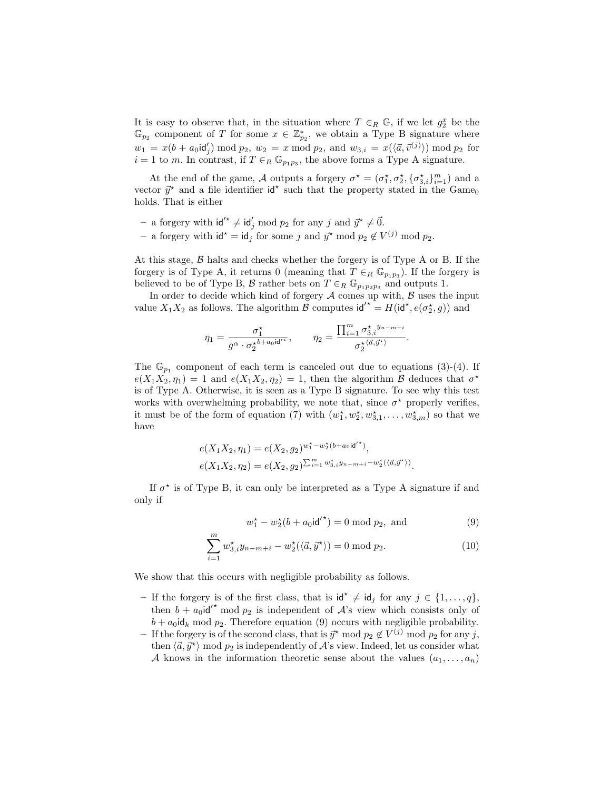It is easy to observe that, in the situation where  $T \in_R \mathbb{G}$ , if we let  $g_2^x$  be the  $\mathbb{G}_{p_2}$  component of T for some  $x \in \mathbb{Z}_{p_2}^*$ , we obtain a Type B signature where  $w_1 = x(b + a_0 \mathsf{id}'_j) \bmod p_2, w_2 = x \bmod p_2, \text{ and } w_{3,i} = x(\langle \vec{a}, \vec{v}^{(j)} \rangle) \bmod p_2 \text{ for }$  $i = 1$  to m. In contrast, if  $T \in_R \mathbb{G}_{p_1p_3}$ , the above forms a Type A signature.

At the end of the game, A outputs a forgery  $\sigma^* = (\sigma_1^*, \sigma_2^*, {\{\sigma_{3,i}^*}\}_{i=1}^m)$  and a vector  $\vec{y}^*$  and a file identifier  $\mathsf{id}^*$  such that the property stated in the Game<sub>0</sub> holds. That is either

- a forgery with  $\mathsf{id'}^* \neq \mathsf{id}'_j \bmod p_2$  for any j and  $\vec{y}^* \neq \vec{0}$ . − a forgery with  $\mathsf{id}^* = \mathsf{id}_j$  for some j and  $\vec{y}^*$  mod  $p_2 \notin V^{(j)}$  mod  $p_2$ .

At this stage,  $\beta$  halts and checks whether the forgery is of Type A or B. If the forgery is of Type A, it returns 0 (meaning that  $T \in_R \mathbb{G}_{p_1p_3}$ ). If the forgery is believed to be of Type B, B rather bets on  $T \in_R \mathbb{G}_{p_1p_2p_3}$  and outputs 1.

In order to decide which kind of forgery  $A$  comes up with,  $B$  uses the input value  $X_1X_2$  as follows. The algorithm  $\beta$  computes  $\mathsf{id'}^* = H(\mathsf{id}^*, e(\sigma_2^*, g))$  and

$$
\eta_1=\frac{\sigma_1^\star}{g^\alpha\cdot\sigma_2^{\star b+a_0\mathsf{id}'^\star}},\qquad \eta_2=\frac{\prod_{i=1}^m\sigma_{3,i}^{\star\ y_n-m+i}}{\sigma_2^{\star\langle\vec{a},\vec{y}^\star\rangle}}.
$$

The  $\mathbb{G}_{p_1}$  component of each term is canceled out due to equations (3)-(4). If  $e(X_1X_2, \eta_1) = 1$  and  $e(X_1X_2, \eta_2) = 1$ , then the algorithm  $\beta$  deduces that  $\sigma^*$ is of Type A. Otherwise, it is seen as a Type B signature. To see why this test works with overwhelming probability, we note that, since  $\sigma^*$  properly verifies, it must be of the form of equation (7) with  $(w_1^{\star}, w_2^{\star}, w_{3,1}^{\star}, \ldots, w_{3,m}^{\star})$  so that we have

$$
e(X_1X_2, \eta_1) = e(X_2, g_2)^{w_1^* - w_2^*(b + a_0 \mathrm{id'}^*)},
$$
  

$$
e(X_1X_2, \eta_2) = e(X_2, g_2)^{\sum_{i=1}^m w_{3,i}^* y_{n-m+i} - w_2^*(\langle \vec{a}, \vec{y}^* \rangle)}.
$$

If  $\sigma^*$  is of Type B, it can only be interpreted as a Type A signature if and only if

$$
w_1^* - w_2^*(b + a_0 \mathrm{id'}^*) = 0 \bmod p_2, \text{ and } (9)
$$

$$
\sum_{i=1}^{m} w_{3,i}^{\star} y_{n-m+i} - w_2^{\star}(\langle \vec{a}, \vec{y}^{\star} \rangle) = 0 \text{ mod } p_2.
$$
 (10)

We show that this occurs with negligible probability as follows.

- If the forgery is of the first class, that is  $\mathsf{id}^* \neq \mathsf{id}_j$  for any  $j \in \{1, \ldots, q\}$ , then  $b + a_0 \mathrm{id'}^*$  mod  $p_2$  is independent of  $\mathcal{A}$ 's view which consists only of  $b + a_0 \, \mathrm{id}_k \mod p_2$ . Therefore equation (9) occurs with negligible probability.
- − If the forgery is of the second class, that is  $\vec{y}^*$  mod  $p_2 \notin V^{(j)}$  mod  $p_2$  for any j, then  $\langle \vec{a}, \vec{y}^* \rangle$  mod  $p_2$  is independently of  $A$ 's view. Indeed, let us consider what A knows in the information theoretic sense about the values  $(a_1, \ldots, a_n)$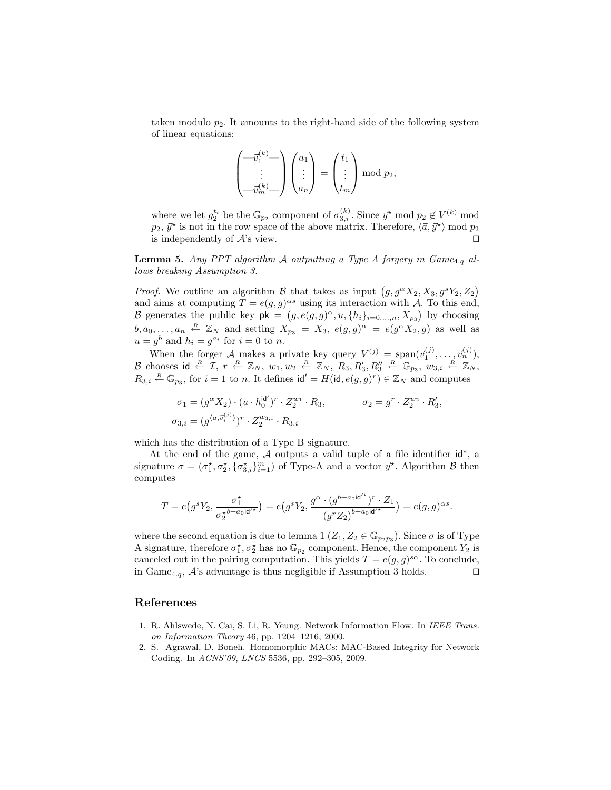taken modulo  $p_2$ . It amounts to the right-hand side of the following system of linear equations:

$$
\begin{pmatrix} -\vec{v}_1^{(k)} - \\ \vdots \\ -\vec{v}_m^{(k)} - \end{pmatrix} \begin{pmatrix} a_1 \\ \vdots \\ a_n \end{pmatrix} = \begin{pmatrix} t_1 \\ \vdots \\ t_m \end{pmatrix} \bmod p_2,
$$

where we let  $g_2^{t_i}$  be the  $\mathbb{G}_{p_2}$  component of  $\sigma_{3,i}^{(k)}$ . Since  $\vec{y}^*$  mod  $p_2 \notin V^{(k)}$  mod  $p_2, \vec{y}^{\star}$  is not in the row space of the above matrix. Therefore,  $\langle \vec{a}, \vec{y}^{\star} \rangle$  mod  $p_2$ is independently of  $\mathcal{A}$ 's view.

**Lemma 5.** Any PPT algorithm A outputting a Type A forgery in  $Game_{4,q}$  allows breaking Assumption 3.

*Proof.* We outline an algorithm B that takes as input  $(g, g^{\alpha} X_2, X_3, g^s Y_2, Z_2)$ and aims at computing  $T = e(g, g)^{\alpha s}$  using its interaction with A. To this end, B generates the public key  $\mathsf{pk} = (g, e(g, g)^{\alpha}, u, \{h_i\}_{i=0,\dots,n}, X_{p_3})$  by choosing  $b, a_0, \ldots, a_n \stackrel{R}{\leftarrow} \mathbb{Z}_N$  and setting  $X_{p_3} = X_3$ ,  $e(g, g)^{\alpha} = e(g^{\alpha} X_2, g)$  as well as  $u = g<sup>b</sup>$  and  $h<sub>i</sub> = g<sup>a<sub>i</sub></sup>$  for  $i = 0$  to n.

When the forger A makes a private key query  $V^{(j)} = \text{span}(\vec{v}_1^{(j)}, \dots, \vec{v}_n^{(j)}),$ B chooses id  $\stackrel{R}{\leftarrow} \mathcal{I}, r \stackrel{R}{\leftarrow} \mathbb{Z}_N, w_1, w_2 \stackrel{R}{\leftarrow} \mathbb{Z}_N, R_3, R'_3, R''_3 \stackrel{R}{\leftarrow} \mathbb{G}_{p_3}, w_{3,i} \stackrel{R}{\leftarrow} \mathbb{Z}_N,$  $R_{3,i} \stackrel{R}{\leftarrow} \mathbb{G}_{p_3}$ , for  $i = 1$  to n. It defines  $\mathsf{id}' = H(\mathsf{id}, e(g, g)^r) \in \mathbb{Z}_N$  and computes

$$
\sigma_1 = (g^{\alpha} X_2) \cdot (u \cdot h_0^{\mathsf{id}'})^r \cdot Z_2^{w_1} \cdot R_3, \qquad \sigma_2 = g^r \cdot Z_2^{w_2} \cdot R_3',
$$
  

$$
\sigma_{3,i} = (g^{\langle a, \vec{v}_i^{(j)} \rangle})^r \cdot Z_2^{w_{3,i}} \cdot R_{3,i}
$$

which has the distribution of a Type B signature.

At the end of the game,  $A$  outputs a valid tuple of a file identifier  $id^*$ , a signature  $\sigma = (\sigma_1^*, \sigma_2^*, \{\sigma_{3,i}^*\}_{i=1}^m)$  of Type-A and a vector  $\vec{y}^*$ . Algorithm  $\beta$  then computes

$$
T = e(g^s Y_2, \frac{\sigma_1^*}{\sigma_2^{*b + a_0 \mathsf{id}'^*}}) = e(g^s Y_2, \frac{g^{\alpha} \cdot (g^{b + a_0 \mathsf{id}'^*})^r \cdot Z_1}{(g^r Z_2)^{b + a_0 \mathsf{id}'^*}}) = e(g, g)^{\alpha s}.
$$

where the second equation is due to lemma 1  $(Z_1, Z_2 \in \mathbb{G}_{p_2p_3})$ . Since  $\sigma$  is of Type A signature, therefore  $\sigma_1^*, \sigma_2^*$  has no  $\mathbb{G}_{p_2}$  component. Hence, the component  $Y_2$  is canceled out in the pairing computation. This yields  $T = e(g, g)^{s\alpha}$ . To conclude, in Game<sub>4.q</sub>,  $A$ 's advantage is thus negligible if Assumption 3 holds.  $\square$ 

## References

- 1. R. Ahlswede, N. Cai, S. Li, R. Yeung. Network Information Flow. In IEEE Trans. on Information Theory 46, pp. 1204–1216, 2000.
- 2. S. Agrawal, D. Boneh. Homomorphic MACs: MAC-Based Integrity for Network Coding. In ACNS'09, LNCS 5536, pp. 292–305, 2009.